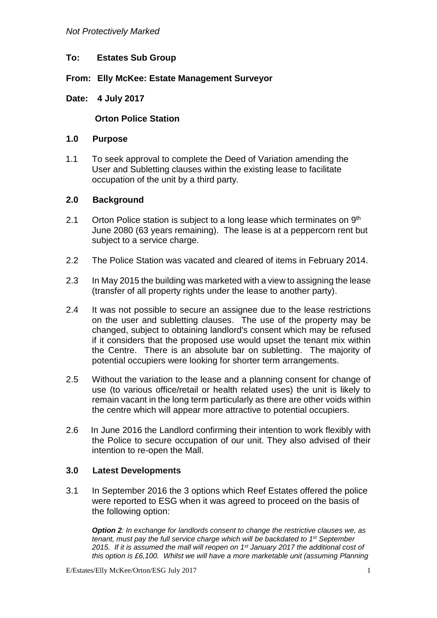- **To: Estates Sub Group**
- **From: Elly McKee: Estate Management Surveyor**

## **Date: 4 July 2017**

# **Orton Police Station**

#### **1.0 Purpose**

1.1 To seek approval to complete the Deed of Variation amending the User and Subletting clauses within the existing lease to facilitate occupation of the unit by a third party.

### **2.0 Background**

- 2.1 Orton Police station is subject to a long lease which terminates on  $9<sup>th</sup>$ June 2080 (63 years remaining). The lease is at a peppercorn rent but subject to a service charge.
- 2.2 The Police Station was vacated and cleared of items in February 2014.
- 2.3 In May 2015 the building was marketed with a view to assigning the lease (transfer of all property rights under the lease to another party).
- 2.4 It was not possible to secure an assignee due to the lease restrictions on the user and subletting clauses. The use of the property may be changed, subject to obtaining landlord's consent which may be refused if it considers that the proposed use would upset the tenant mix within the Centre. There is an absolute bar on subletting. The majority of potential occupiers were looking for shorter term arrangements.
- 2.5 Without the variation to the lease and a planning consent for change of use (to various office/retail or health related uses) the unit is likely to remain vacant in the long term particularly as there are other voids within the centre which will appear more attractive to potential occupiers.
- 2.6 In June 2016 the Landlord confirming their intention to work flexibly with the Police to secure occupation of our unit. They also advised of their intention to re-open the Mall.

### **3.0 Latest Developments**

3.1 In September 2016 the 3 options which Reef Estates offered the police were reported to ESG when it was agreed to proceed on the basis of the following option:

*Option 2: In exchange for landlords consent to change the restrictive clauses we, as tenant, must pay the full service charge which will be backdated to 1st September 2015. If it is assumed the mall will reopen on 1st January 2017 the additional cost of this option is £6,100. Whilst we will have a more marketable unit (assuming Planning* 

E/Estates/Elly McKee/Orton/ESG July 2017 1